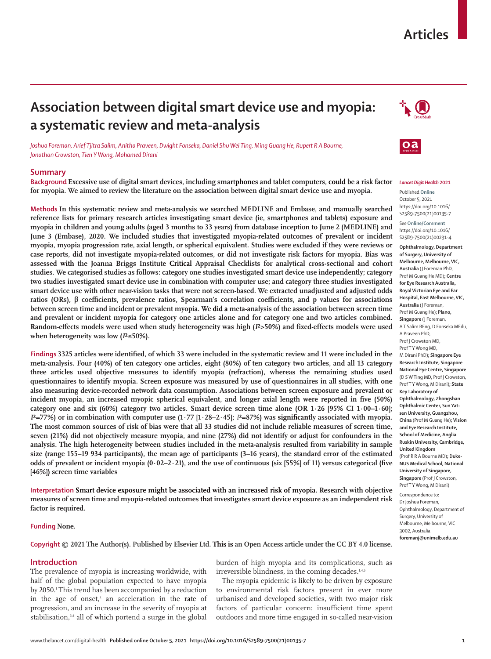# **Articles**

# **Association between digital smart device use and myopia: a systematic review and meta-analysis**



*Joshua Foreman, Arief Tjitra Salim, Anitha Praveen, Dwight Fonseka, Daniel Shu Wei Ting, Ming Guang He, Rupert R A Bourne, Jonathan Crowston, Tien Y Wong, Mohamed Dirani*

## **Summary**

**Background Excessive use of digital smart devices, including smartphones and tablet computers, could be a risk factor for myopia. We aimed to review the literature on the association between digital smart device use and myopia.**

**Methods In this systematic review and meta-analysis we searched MEDLINE and Embase, and manually searched reference lists for primary research articles investigating smart device (ie, smartphones and tablets) exposure and myopia in children and young adults (aged 3 months to 33 years) from database inception to June 2 (MEDLINE) and June 3 (Embase), 2020. We included studies that investigated myopia-related outcomes of prevalent or incident myopia, myopia progression rate, axial length, or spherical equivalent. Studies were excluded if they were reviews or case reports, did not investigate myopia-related outcomes, or did not investigate risk factors for myopia. Bias was assessed with the Joanna Briggs Institute Critical Appraisal Checklists for analytical cross-sectional and cohort studies. We categorised studies as follows: category one studies investigated smart device use independently; category two studies investigated smart device use in combination with computer use; and category three studies investigated smart device use with other near-vision tasks that were not screen-based. We extracted unadjusted and adjusted odds ratios (ORs), β coefficients, prevalence ratios, Spearman's correlation coefficients, and p values for associations between screen time and incident or prevalent myopia. We did a meta-analysis of the association between screen time and prevalent or incident myopia for category one articles alone and for category one and two articles combined. Random-effects models were used when study heterogeneity was high (***I***²>50%) and fixed-effects models were used when heterogeneity was low (***I***²≤50%).**

**Findings 3325 articles were identified, of which 33 were included in the systematic review and 11 were included in the meta-analysis. Four (40%) of ten category one articles, eight (80%) of ten category two articles, and all 13 category three articles used objective measures to identify myopia (refraction), whereas the remaining studies used questionnaires to identify myopia. Screen exposure was measured by use of questionnaires in all studies, with one also measuring device-recorded network data consumption. Associations between screen exposure and prevalent or incident myopia, an increased myopic spherical equivalent, and longer axial length were reported in five (50%) category one and six (60%) category two articles. Smart device screen time alone (OR 1·26 [95% CI 1·00–1·60];**  *I***²=77%) or in combination with computer use (1·77 [1·28–2·45];** *I***²=87%) was significantly associated with myopia. The most common sources of risk of bias were that all 33 studies did not include reliable measures of screen time, seven (21%) did not objectively measure myopia, and nine (27%) did not identify or adjust for confounders in the analysis. The high heterogeneity between studies included in the meta-analysis resulted from variability in sample size (range 155–19 934 participants), the mean age of participants (3–16 years), the standard error of the estimated odds of prevalent or incident myopia (0·02–2·21), and the use of continuous (six [55%] of 11) versus categorical (five [46%]) screen time variables**

**Interpretation Smart device exposure might be associated with an increased risk of myopia. Research with objective measures of screen time and myopia-related outcomes that investigates smart device exposure as an independent risk factor is required.**

## **Funding None.**

**Copyright © 2021 The Author(s). Published by Elsevier Ltd. This is an Open Access article under the CC BY 4.0 license.**

## **Introduction**

The prevalence of myopia is increasing worldwide, with half of the global population expected to have myopia by 2050.<sup>1</sup> This trend has been accompanied by a reduction in the age of onset,<sup>2</sup> an acceleration in the rate of progression, and an increase in the severity of myopia at stabilisation,<sup>3,4</sup> all of which portend a surge in the global

burden of high myopia and its complications, such as irreversible blindness, in the coming decades.<sup>1,4,5</sup>

The myopia epidemic is likely to be driven by exposure to environmental risk factors present in ever more urbanised and developed societies, with two major risk factors of particular concern: insufficient time spent outdoors and more time engaged in so-called near-vision



#### *Lancet Digit Health* **2021**

Published **Online** October 5, 2021 https://doi.org/10.1016/ S2589-7500(21)00135-7 See**Online/Comment** https://doi.org/10.1016/ S2589-7500(21)00231-4

**Ophthalmology, Department of Surgery, University of Melbourne, Melbourne, VIC, Australia** (J Foreman PhD, Prof M Guang He MD)**; Centre for Eye Research Australia, Royal Victorian Eye and Ear Hospital, East Melbourne, VIC, Australia** (J Foreman, Prof M Guang He); **Plano, Singapore** (J Foreman, A T Salim BEng, D Fonseka MEdu, A Praveen PhD, Prof J Crowston MD, Prof T Y Wong MD, M Dirani PhD)**; Singapore Eye Research Institute, Singapore National Eye Centre, Singapore** (D S W Ting MD, Prof J Crowston, Prof T Y Wong, M Dirani)**; State Key Laboratory of Ophthalmology, Zhongshan Ophthalmic Center, Sun Yatsen University, Guangzhou, China** (Prof M Guang He)**; Vision and Eye Research Institute, School of Medicine, Anglia Ruskin University, Cambridge, United Kingdom** (Prof R R A Bourne MD)**; Duke-NUS Medical School, National University of Singapore, Singapore** (Prof J Crowston, Prof T Y Wong, M Dirani)

Correspondence to: Dr Joshua Foreman, Ophthalmology, Department of Surgery, University of Melbourne, Melbourne, VIC 3002, Australia **foremanj@unimelb.edu.au**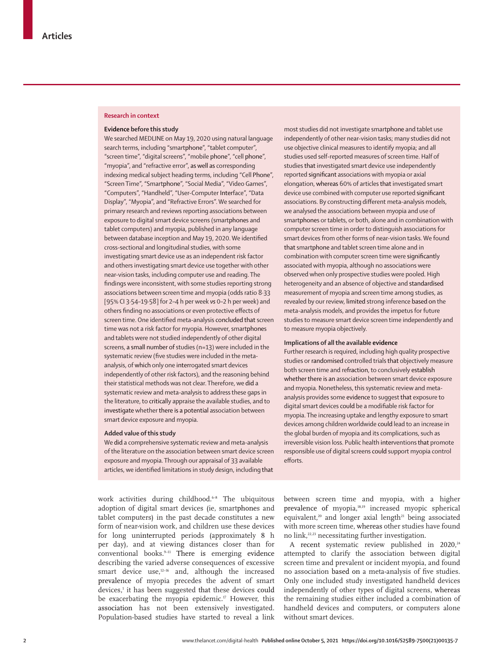## **Research in context**

### **Evidence before this study**

We searched MEDLINE on May 19, 2020 using natural language search terms, including "smartphone", "tablet computer", "screen time", "digital screens", "mobile phone", "cell phone", "myopia", and "refractive error", as well as corresponding indexing medical subject heading terms, including "Cell Phone", "Screen Time", "Smartphone", "Social Media", "Video Games", "Computers", "Handheld", "User-Computer Interface", "Data Display", "Myopia", and "Refractive Errors". We searched for primary research and reviews reporting associations between exposure to digital smart device screens (smartphones and tablet computers) and myopia, published in any language between database inception and May 19, 2020. We identified cross-sectional and longitudinal studies, with some investigating smart device use as an independent risk factor and others investigating smart device use together with other near-vision tasks, including computer use and reading. The findings were inconsistent, with some studies reporting strong associations between screen time and myopia (odds ratio 8·33 [95% CI 3·54–19·58] for 2–4 h per week *vs* 0–2 h per week) and others finding no associations or even protective effects of screen time. One identified meta-analysis concluded that screen time was not a risk factor for myopia. However, smartphones and tablets were not studied independently of other digital screens, a small number of studies (n=13) were included in the systematic review (five studies were included in the metaanalysis, of which only one interrogated smart devices independently of other risk factors), and the reasoning behind their statistical methods was not clear. Therefore, we did a systematic review and meta-analysis to address these gaps in the literature, to critically appraise the available studies, and to investigate whether there is a potential association between smart device exposure and myopia.

### **Added value of this study**

We did a comprehensive systematic review and meta-analysis of the literature on the association between smart device screen exposure and myopia. Through our appraisal of 33 available articles, we identified limitations in study design, including that

work activities during childhood.<sup>6-8</sup> The ubiquitous adoption of digital smart devices (ie, smartphones and tablet computers) in the past decade constitutes a new form of near-vision work, and children use these devices for long uninterrupted periods (approximately 8 h per day), and at viewing distances closer than for conventional books.9–11 There is emerging evidence describing the varied adverse consequences of excessive smart device use,<sup>12-16</sup> and, although the increased prevalence of myopia precedes the advent of smart devices,<sup>1</sup> it has been suggested that these devices could be exacerbating the myopia epidemic. $17$  However, this association has not been extensively investigated. Population-based studies have started to reveal a link

most studies did not investigate smartphone and tablet use independently of other near-vision tasks; many studies did not use objective clinical measures to identify myopia; and all studies used self-reported measures of screen time. Half of studies that investigated smart device use independently reported significant associations with myopia or axial elongation, whereas 60% of articles that investigated smart device use combined with computer use reported significant associations. By constructing different meta-analysis models, we analysed the associations between myopia and use of smartphones or tablets, or both, alone and in combination with computer screen time in order to distinguish associations for smart devices from other forms of near-vision tasks. We found that smartphone and tablet screen time alone and in combination with computer screen time were significantly associated with myopia, although no associations were observed when only prospective studies were pooled. High heterogeneity and an absence of objective and standardised measurement of myopia and screen time among studies, as revealed by our review, limited strong inference based on the meta-analysis models, and provides the impetus for future studies to measure smart device screen time independently and to measure myopia objectively.

## **Implications of all the available evidence**

Further research is required, including high quality prospective studies or randomised controlled trials that objectively measure both screen time and refraction, to conclusively establish whether there is an association between smart device exposure and myopia. Nonetheless, this systematic review and metaanalysis provides some evidence to suggest that exposure to digital smart devices could be a modifiable risk factor for myopia. The increasing uptake and lengthy exposure to smart devices among children worldwide could lead to an increase in the global burden of myopia and its complications, such as irreversible vision loss. Public health interventions that promote responsible use of digital screens could support myopia control efforts.

between screen time and myopia, with a higher prevalence of myopia,18,19 increased myopic spherical equivalent, $20$  and longer axial length $21$  being associated with more screen time, whereas other studies have found no link,<sup>22,23</sup> necessitating further investigation.

A recent systematic review published in  $2020$ ,<sup>24</sup> attempted to clarify the association between digital screen time and prevalent or incident myopia, and found no association based on a meta-analysis of five studies. Only one included study investigated handheld devices independently of other types of digital screens, whereas the remaining studies either included a combination of handheld devices and computers, or computers alone without smart devices.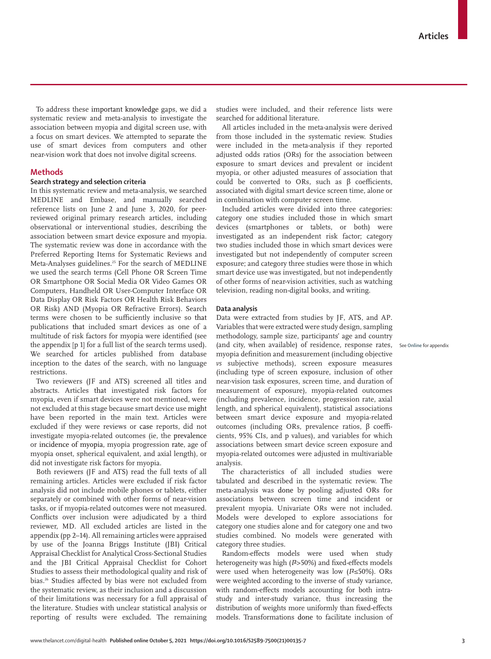To address these important knowledge gaps, we did a systematic review and meta-analysis to investigate the association between myopia and digital screen use, with a focus on smart devices. We attempted to separate the use of smart devices from computers and other near-vision work that does not involve digital screens.

# **Methods**

## **Search strategy and selection criteria**

In this systematic review and meta-analysis, we searched MEDLINE and Embase, and manually searched reference lists on June 2 and June 3, 2020, for peerreviewed original primary research articles, including observational or interventional studies, describing the association between smart device exposure and myopia. The systematic review was done in accordance with the Preferred Reporting Items for Systematic Reviews and Meta-Analyses guidelines.<sup>25</sup> For the search of MEDLINE we used the search terms (Cell Phone OR Screen Time OR Smartphone OR Social Media OR Video Games OR Computers, Handheld OR User-Computer Interface OR Data Display OR Risk Factors OR Health Risk Behaviors OR Risk) AND (Myopia OR Refractive Errors). Search terms were chosen to be sufficiently inclusive so that publications that included smart devices as one of a multitude of risk factors for myopia were identified (see the appendix [p 1] for a full list of the search terms used). We searched for articles published from database inception to the dates of the search, with no language restrictions.

Two reviewers (JF and ATS) screened all titles and abstracts. Articles that investigated risk factors for myopia, even if smart devices were not mentioned, were not excluded at this stage because smart device use might have been reported in the main text. Articles were excluded if they were reviews or case reports, did not investigate myopia-related outcomes (ie, the prevalence or incidence of myopia, myopia progression rate, age of myopia onset, spherical equivalent, and axial length), or did not investigate risk factors for myopia.

Both reviewers (JF and ATS) read the full texts of all remaining articles. Articles were excluded if risk factor analysis did not include mobile phones or tablets, either separately or combined with other forms of near-vision tasks, or if myopia-related outcomes were not measured. Conflicts over inclusion were adjudicated by a third reviewer, MD. All excluded articles are listed in the appendix (pp 2–14). All remaining articles were appraised by use of the Joanna Briggs Institute (JBI) Critical Appraisal Checklist for Analytical Cross-Sectional Studies and the JBI Critical Appraisal Checklist for Cohort Studies to assess their methodological quality and risk of bias.<sup>26</sup> Studies affected by bias were not excluded from the systematic review, as their inclusion and a discussion of their limitations was necessary for a full appraisal of the literature. Studies with unclear statistical analysis or reporting of results were excluded. The remaining studies were included, and their reference lists were searched for additional literature.

All articles included in the meta-analysis were derived from those included in the systematic review. Studies were included in the meta-analysis if they reported adjusted odds ratios (ORs) for the association between exposure to smart devices and prevalent or incident myopia, or other adjusted measures of association that could be converted to ORs, such as β coefficients, associated with digital smart device screen time, alone or in combination with computer screen time.

Included articles were divided into three categories: category one studies included those in which smart devices (smartphones or tablets, or both) were investigated as an independent risk factor; category two studies included those in which smart devices were investigated but not independently of computer screen exposure; and category three studies were those in which smart device use was investigated, but not independently of other forms of near-vision activities, such as watching television, reading non-digital books, and writing.

## **Data analysis**

Data were extracted from studies by JF, ATS, and AP. Variables that were extracted were study design, sampling methodology, sample size, participants' age and country (and city, when available) of residence, response rates, See **Online** for appendixmyopia definition and measurement (including objective *vs* subjective methods), screen exposure measures (including type of screen exposure, inclusion of other near-vision task exposures, screen time, and duration of measurement of exposure), myopia-related outcomes (including prevalence, incidence, progression rate, axial length, and spherical equivalent), statistical associations between smart device exposure and myopia-related outcomes (including ORs, prevalence ratios, β coefficients, 95% CIs, and p values), and variables for which associations between smart device screen exposure and myopia-related outcomes were adjusted in multivariable analysis.

The characteristics of all included studies were tabulated and described in the systematic review. The meta-analysis was done by pooling adjusted ORs for associations between screen time and incident or prevalent myopia. Univariate ORs were not included. Models were developed to explore associations for category one studies alone and for category one and two studies combined. No models were generated with category three studies.

Random-effects models were used when study heterogeneity was high (*I*²>50%) and fixed-effects models were used when heterogeneity was low (*I*²≤50%). ORs were weighted according to the inverse of study variance, with random-effects models accounting for both intrastudy and inter-study variance, thus increasing the distribution of weights more uniformly than fixed-effects models. Transformations done to facilitate inclusion of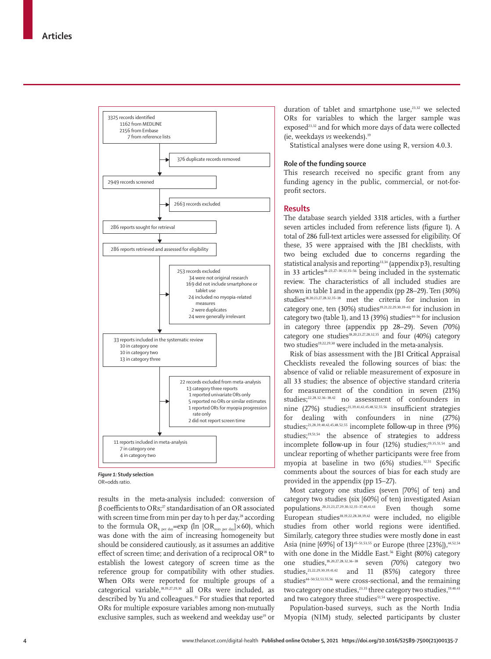

*Figure 1:* **Study selection** OR=odds ratio.

results in the meta-analysis included: conversion of  $β$  coefficients to ORs;<sup>27</sup> standardisation of an OR associated with screen time from min per day to h per day,<sup>28</sup> according to the formula  $OR_{h\text{ per day}} = \exp(\ln[OR_{min\text{ per day}}] \times 60)$ , which was done with the aim of increasing homogeneity but should be considered cautiously, as it assumes an additive effect of screen time; and derivation of a reciprocal OR<sup>18</sup> to establish the lowest category of screen time as the reference group for compatibility with other studies. When ORs were reported for multiple groups of a categorical variable,18,19,27,29,30 all ORs were included, as described by Yu and colleagues.<sup>31</sup> For studies that reported ORs for multiple exposure variables among non-mutually exclusive samples, such as weekend and weekday use<sup>19</sup> or duration of tablet and smartphone use,<sup>23,32</sup> we selected ORs for variables to which the larger sample was exposed<sup>23,32</sup> and for which more days of data were collected (ie, weekdays *vs* weekends).19

Statistical analyses were done using R, version 4.0.3.

# **Role of the funding source**

This research received no specific grant from any funding agency in the public, commercial, or not-forprofit sectors.

# **Results**

The database search yielded 3318 articles, with a further seven articles included from reference lists (figure 1). A total of 286 full-text articles were assessed for eligibility. Of these, 35 were appraised with the JBI checklists, with two being excluded due to concerns regarding the statistical analysis and reporting<sup>33,34</sup> (appendix p3), resulting in 33 articles<sup>18-23,27-30,32,35-56</sup> being included in the systematic review. The characteristics of all included studies are shown in table 1 and in the appendix (pp 28–29). Ten (30%) studies<sup>18,20,23,27,28,32,35-38</sup> met the criteria for inclusion in category one, ten (30%) studies<sup>19,21,22,29,30,39-43</sup> for inclusion in category two (table 1), and 13 (39%) studies<sup>44-56</sup> for inclusion in category three (appendix pp 28–29). Seven (70%) category one studies<sup>18,20,23,27,28,32,35</sup> and four (40%) category two studies<sup>19,22,29,30</sup> were included in the meta-analysis.

Risk of bias assessment with the JBI Critical Appraisal Checklists revealed the following sources of bias: the absence of valid or reliable measurement of exposure in all 33 studies; the absence of objective standard criteria for measurement of the condition in seven (21%) studies;<sup>22,28,32,36-38,42</sup> no assessment of confounders in nine (27%) studies;21,39,41,42,45,48,52,55,56 insufficient strategies for dealing with confounders in nine (27%) studies;21,28,39,40,42,45,48,52,55 incomplete follow-up in three (9%) studies;19,51,54 the absence of strategies to address incomplete follow-up in four (12%) studies;<sup>19,35,51,54</sup> and unclear reporting of whether participants were free from myopia at baseline in two (6%) studies.32,51 Specific comments about the sources of bias for each study are provided in the appendix (pp 15–27).

Most category one studies (seven [70%] of ten) and category two studies (six [60%] of ten) investigated Asian populations.20,21,23,27,29,30,32,35–37,40,41,43 Even though some European studies<sup>18,19,22,28,38,39,42</sup> were included, no eligible studies from other world regions were identified. Similarly, category three studies were mostly done in east Asia (nine  $[69\%]$  of 13)<sup>45–51,53,55</sup> or Europe (three  $[23\%]$ ),<sup>44,52,54</sup> with one done in the Middle East.<sup>56</sup> Eight (80%) category one studies,18,20,27,28,32,36–38 seven (70%) category two studies,  $21,22,29,30,39,41,42$  and 11 (85%) category three studies<sup>44-50,52,53,55,56</sup> were cross-sectional, and the remaining two category one studies,<sup>23,35</sup> three category two studies,<sup>19,40,43</sup> and two category three studies<sup>51,54</sup> were prospective.

Population-based surveys, such as the North India Myopia (NIM) study, selected participants by cluster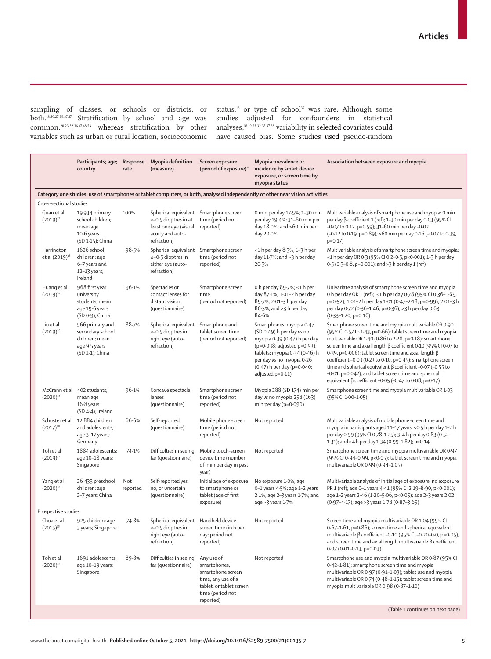sampling of classes, or schools or districts, or both.18,20,27,29,37,47 Stratification by school and age was common,20,23,32,36,47,48,53 whereas stratification by other

variables such as urban or rural location, socioeconomic have caused bias. Some studies used pseudo-random status, $18$  or type of school<sup>32</sup> was rare. Although some studies adjusted for confounders in statistical analyses,18,19,23,32,35,37,38 variability in selected covariates could

|                                                                                                                               | Participants; age;<br>country                                                             | Response<br>rate | Myopia definition<br>(measure)                                                                           | Screen exposure<br>(period of exposure)*                                                                                           | Myopia prevalence or<br>incidence by smart device<br>exposure, or screen time by<br>myopia status                                                                                                                                    | Association between exposure and myopia                                                                                                                                                                                                                                                                                                                                                                                                                                                                                                                                            |
|-------------------------------------------------------------------------------------------------------------------------------|-------------------------------------------------------------------------------------------|------------------|----------------------------------------------------------------------------------------------------------|------------------------------------------------------------------------------------------------------------------------------------|--------------------------------------------------------------------------------------------------------------------------------------------------------------------------------------------------------------------------------------|------------------------------------------------------------------------------------------------------------------------------------------------------------------------------------------------------------------------------------------------------------------------------------------------------------------------------------------------------------------------------------------------------------------------------------------------------------------------------------------------------------------------------------------------------------------------------------|
| Category one studies: use of smartphones or tablet computers, or both, analysed independently of other near vision activities |                                                                                           |                  |                                                                                                          |                                                                                                                                    |                                                                                                                                                                                                                                      |                                                                                                                                                                                                                                                                                                                                                                                                                                                                                                                                                                                    |
| Cross-sectional studies                                                                                                       |                                                                                           |                  |                                                                                                          |                                                                                                                                    |                                                                                                                                                                                                                                      |                                                                                                                                                                                                                                                                                                                                                                                                                                                                                                                                                                                    |
| Guan et al<br>$(2019)^{27}$                                                                                                   | 19934 primary<br>school children;<br>mean age<br>$10·6$ years<br>(SD 1-15); China         | 100%             | Spherical equivalent<br>≤-0.5 dioptres in at<br>least one eye (visual<br>acuity and auto-<br>refraction) | Smartphone screen<br>time (period not<br>reported)                                                                                 | 0 min per day 17.5%; 1-30 min<br>per day 19-4%; 31-60 min per<br>day $18.0\%$ ; and $>60$ min per<br>day 20.0%                                                                                                                       | Multivariable analysis of smartphone use and myopia: 0 min<br>per day β coefficient 1 (ref); 1-30 min per day 0.03 (95% CI<br>-0.07 to 0.12, p=0.59); 31-60 min per day -0.02<br>(-0.22 to 0.19, p=0.89); >60 min per day 0.16 (-0.07 to 0.39,<br>$p=0.17$ )                                                                                                                                                                                                                                                                                                                       |
| Harrington<br>et al (2019) <sup>18</sup>                                                                                      | 1626 school<br>children; age<br>6-7 years and<br>12-13 years;<br>Ireland                  | 98.5%            | Spherical equivalent<br>$\leq -0.5$ dioptres in<br>either eye (auto-<br>refraction)                      | Smartphone screen<br>time (period not<br>reported)                                                                                 | <1 h per day 8.3%; 1-3 h per<br>day $11.7\%$ ; and $>3$ h per day<br>20.3%                                                                                                                                                           | Multivariable analysis of smartphone screen time and myopia:<br><1 h per day OR 0.3 (95% CI 0.2-0.5, p<0.001); 1-3 h per day<br>0.5 (0.3-0.8, p=0.001); and >3 h per day 1 (ref)                                                                                                                                                                                                                                                                                                                                                                                                   |
| Huang et al<br>$(2019)^{36}$                                                                                                  | 968 first year<br>university<br>students; mean<br>age 19.6 years<br>(SD 0.9); China       | 96.1%            | Spectacles or<br>contact lenses for<br>distant vision<br>(questionnaire)                                 | Smartphone screen<br>time<br>(period not reported)                                                                                 | 0 h per day 89.7%; ≤1 h per<br>day 87-1%; 1-01-2 h per day<br>89.7%; 2.01-3 h per day<br>86.3%; and >3 h per day<br>84.6%                                                                                                            | Univariate analysis of smartphone screen time and myopia:<br>0 h per day OR 1 (ref); ≤1 h per day 0.78 (95% CI 0.36-1.69,<br>p=0.52); 1.01-2 h per day 1.01 (0.47-2.18, p=0.99); 2.01-3 h<br>per day 0.72 (0.36-1.46, p=0.36); >3 h per day 0.63<br>$(0.33 - 1.20, p = 0.16)$                                                                                                                                                                                                                                                                                                      |
| Liu et al<br>$(2019)^{20}$                                                                                                    | 566 primary and<br>secondary school<br>children; mean<br>age 9.5 years<br>(SD 2-1); China | 88.7%            | Spherical equivalent<br>≤-0.5 dioptres in<br>right eye (auto-<br>refraction)                             | Smartphone and<br>tablet screen time<br>(period not reported)                                                                      | Smartphones: myopia 0.47<br>(SD 0.49) h per day vs no<br>myopia 0.39 (0.47) h per day<br>(p=0.038; adjusted p=0.93);<br>tablets: myopia 0.34 (0.46) h<br>per day vs no myopia 0.26<br>(0.47) h per day (p=0.040;<br>adjusted p=0.11) | Smartphone screen time and myopia multivariable OR 0.90<br>(95% CI 0.57 to 1.43, p=0.66); tablet screen time and myopia<br>multivariable OR 1.40 (0.86 to 2.28, p=0.18); smartphone<br>screen time and axial length β coefficient 0.10 (95% CI 0.07 to<br>0.39, p=0.006); tablet screen time and axial length $\beta$<br>coefficient -0.03 (0.23 to 0.10, p=0.45); smartphone screen<br>time and spherical equivalent $\beta$ coefficient -0.07 (-0.55 to<br>-0.01, p=0.042); and tablet screen time and spherical<br>equivalent $\beta$ coefficient -0.05 (-0.47 to 0.08, p=0.17) |
| McCrann et al<br>$(2020)^{28}$                                                                                                | 402 students;<br>mean age<br>$16.8$ years<br>(SD 4-4); Ireland                            | 96.1%            | Concave spectacle<br>lenses<br>(questionnaire)                                                           | Smartphone screen<br>time (period not<br>reported)                                                                                 | Myopia 288 (SD 174) min per<br>day vs no myopia 258 (163)<br>min per day ( $p=0.090$ )                                                                                                                                               | Smartphone screen time and myopia multivariable OR 1.03<br>(95% CI 1.00-1.05)                                                                                                                                                                                                                                                                                                                                                                                                                                                                                                      |
| Schuster et al<br>$(2017)^{38}$                                                                                               | 12 884 children<br>and adolescents;<br>age 3-17 years;<br>Germany                         | 66.6%            | Self-reported<br>(questionnaire)                                                                         | Mobile phone screen<br>time (period not<br>reported)                                                                               | Not reported                                                                                                                                                                                                                         | Multivariable analysis of mobile phone screen time and<br>myopia in participants aged 11-17 years: < 0.5 h per day 1-2 h<br>per day 0.99 (95% CI 0.78-1.25); 3-4 h per day 0.83 (0.52-<br>1.31); and >4 h per day 1.34 (0.99-1.82); p=0.14                                                                                                                                                                                                                                                                                                                                         |
| Toh et al<br>$(2019)^{32}$                                                                                                    | 1884 adolescents;<br>age 10-18 years;<br>Singapore                                        | 74.1%            | Difficulties in seeing<br>far (questionnaire)                                                            | Mobile touch-screen<br>device time (number<br>of min per day in past<br>year)                                                      | Not reported                                                                                                                                                                                                                         | Smartphone screen time and myopia multivariable OR 0.97<br>(95% CI 0.94-0.99, p<0.05); tablet screen time and myopia<br>multivariable OR 0.99 (0.94-1.05)                                                                                                                                                                                                                                                                                                                                                                                                                          |
| Yang et al<br>$(2020)^{37}$                                                                                                   | 26 433 preschool<br>children; age<br>2-7 years; China                                     | Not<br>reported  | Self-reported yes,<br>no, or uncertain<br>(questionnaire)                                                | Initial age of exposure<br>to smartphone or<br>tablet (age of first<br>exposure)                                                   | No exposure 1.0%; age<br>0-1 years 4.5%; age 1-2 years<br>2.1%; age 2-3 years 1.7%; and<br>age > 3 years 1.7%                                                                                                                        | Multivariable analysis of initial age of exposure: no exposure<br>PR 1 (ref); age 0-1 years 4.41 (95% CI 2.19-8.90, p<0.001);<br>age 1-2 years 2.46 (1.20-5.06, p<0.05); age 2-3 years 2.02<br>(0.97-4.17); age > 3 years 1.78 (0.87-3.65)                                                                                                                                                                                                                                                                                                                                         |
| Prospective studies                                                                                                           |                                                                                           |                  |                                                                                                          |                                                                                                                                    |                                                                                                                                                                                                                                      |                                                                                                                                                                                                                                                                                                                                                                                                                                                                                                                                                                                    |
| Chua et al<br>$(2015)^{35}$                                                                                                   | 925 children; age<br>3 years; Singapore                                                   | 74.8%            | Spherical equivalent Handheld device<br>$\leq$ -0.5 dioptres in<br>right eye (auto-<br>refraction)       | screen time (in h per<br>day; period not<br>reported)                                                                              | Not reported                                                                                                                                                                                                                         | Screen time and myopia multivariable OR 1.04 (95% CI<br>0.67-1.61, p=0.86); screen time and spherical equivalent<br>multivariable β coefficient -0.10 (95% CI -0.20-0.0, p=0.05);<br>and screen time and axial length multivariable $\beta$ coefficient<br>$0.07(0.01 - 0.13, p = 0.03)$                                                                                                                                                                                                                                                                                           |
| Toh et al<br>$(2020)^{23}$                                                                                                    | 1691 adolescents;<br>age 10-19 years;<br>Singapore                                        | 89.8%            | Difficulties in seeing<br>far (questionnaire)                                                            | Any use of<br>smartphones,<br>smartphone screen<br>time, any use of a<br>tablet, or tablet screen<br>time (period not<br>reported) | Not reported                                                                                                                                                                                                                         | Smartphone use and myopia multivariable OR 0.87 (95% CI<br>0.42-1.81); smartphone screen time and myopia<br>multivariable OR 0.97 (0.91-1.03); tablet use and myopia<br>multivariable OR 0.74 (0.48-1.15); tablet screen time and<br>myopia multivariable OR 0.98 (0.87-1.10)                                                                                                                                                                                                                                                                                                      |
|                                                                                                                               |                                                                                           |                  |                                                                                                          |                                                                                                                                    |                                                                                                                                                                                                                                      | (Table 1 continues on next page)                                                                                                                                                                                                                                                                                                                                                                                                                                                                                                                                                   |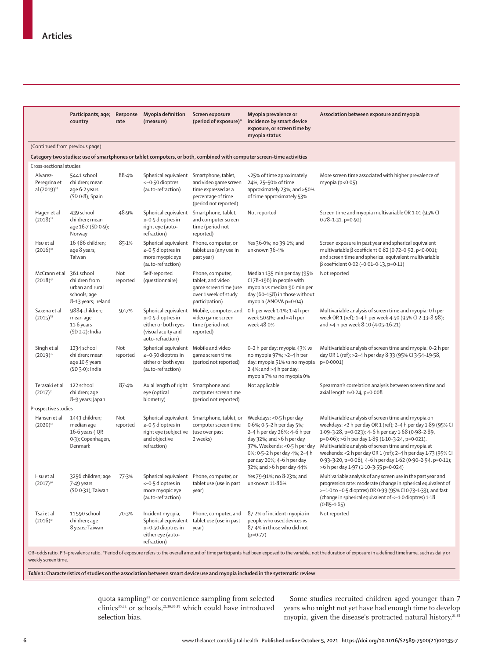|                                                                                                                      | Participants; age;<br>country                                                         | Response<br>rate | Myopia definition<br>(measure)                                                                                   | Screen exposure<br>(period of exposure)*                                                                 | Myopia prevalence or<br>incidence by smart device<br>exposure, or screen time by<br>myopia status                                                                                                                                                | Association between exposure and myopia                                                                                                                                                                                                                                                                                                                                                                                                                         |  |  |
|----------------------------------------------------------------------------------------------------------------------|---------------------------------------------------------------------------------------|------------------|------------------------------------------------------------------------------------------------------------------|----------------------------------------------------------------------------------------------------------|--------------------------------------------------------------------------------------------------------------------------------------------------------------------------------------------------------------------------------------------------|-----------------------------------------------------------------------------------------------------------------------------------------------------------------------------------------------------------------------------------------------------------------------------------------------------------------------------------------------------------------------------------------------------------------------------------------------------------------|--|--|
|                                                                                                                      | (Continued from previous page)                                                        |                  |                                                                                                                  |                                                                                                          |                                                                                                                                                                                                                                                  |                                                                                                                                                                                                                                                                                                                                                                                                                                                                 |  |  |
| Category two studies: use of smartphones or tablet computers, or both, combined with computer screen-time activities |                                                                                       |                  |                                                                                                                  |                                                                                                          |                                                                                                                                                                                                                                                  |                                                                                                                                                                                                                                                                                                                                                                                                                                                                 |  |  |
| Cross-sectional studies                                                                                              |                                                                                       |                  |                                                                                                                  |                                                                                                          |                                                                                                                                                                                                                                                  |                                                                                                                                                                                                                                                                                                                                                                                                                                                                 |  |  |
| Alvarez-<br>Peregrina et<br>al (2019) <sup>39</sup>                                                                  | 5441 school<br>children; mean<br>age 6.2 years<br>(SD 0.8); Spain                     | 88.4%            | Spherical equivalent Smartphone, tablet,<br>$\leq -0.50$ dioptres<br>(auto-refraction)                           | and video game screen<br>time expressed as a<br>percentage of time<br>(period not reported)              | <25% of time aproximately<br>24%; 25-50% of time<br>approximately 23%; and >50%<br>of time approximately 53%                                                                                                                                     | More screen time associated with higher prevalence of<br>myopia ( $p < 0.05$ )                                                                                                                                                                                                                                                                                                                                                                                  |  |  |
| Hagen et al<br>$(2018)^{22}$                                                                                         | 439 school<br>children; mean<br>age 16.7 (SD 0.9);<br>Norway                          | 48.9%            | Spherical equivalent<br>$\leq -0.5$ dioptres in<br>right eye (auto-<br>refraction)                               | Smartphone, tablet,<br>and computer screen<br>time (period not<br>reported)                              | Not reported                                                                                                                                                                                                                                     | Screen time and myopia multivariable OR 1.01 (95% CI<br>$0.78 - 1.31$ , p=0.92)                                                                                                                                                                                                                                                                                                                                                                                 |  |  |
| Hsu et al<br>$(2016)^{41}$                                                                                           | 16 486 children;<br>age 8 years;<br>Taiwan                                            | 85.1%            | Spherical equivalent<br>≤-0.5 dioptres in<br>more myopic eye<br>(auto-refraction)                                | Phone, computer, or<br>tablet use (any use in<br>past year)                                              | Yes 36.0%; no 39.1%; and<br>unknown 36.4%                                                                                                                                                                                                        | Screen exposure in past year and spherical equivalent<br>multivariable β coefficient 0.82 (0.72-0.92, p<0.001);<br>and screen time and spherical equivalent multivariable<br>$β$ coefficient 0.02 (-0.01-0.13, p=0.11)                                                                                                                                                                                                                                          |  |  |
| McCrann et al<br>$(2018)^{42}$                                                                                       | 361 school<br>children from<br>urban and rural<br>schools; age<br>8-13 years; Ireland | Not<br>reported  | Self-reported<br>(questionnaire)                                                                                 | Phone, computer,<br>tablet, and video<br>game screen time (use<br>over 1 week of study<br>participation) | Median 135 min per day (95%<br>CI 78-196) in people with<br>myopia vs median 90 min per<br>day (60-158) in those without<br>myopia (ANOVA p=0.04)                                                                                                | Not reported                                                                                                                                                                                                                                                                                                                                                                                                                                                    |  |  |
| Saxena et al<br>$(2015)^{29}$                                                                                        | 9884 children;<br>mean age<br>11.6 years<br>$(SD 2.2)$ ; India                        | 97.7%            | Spherical equivalent<br>$\leq -0.5$ dioptres in<br>either or both eyes<br>(visual acuity and<br>auto-refraction) | Mobile, computer, and<br>video game screen<br>time (period not<br>reported)                              | 0 h per week 1.1%; 1-4 h per<br>week 50 $-9\%$ ; and $>4$ h per<br>week 48.0%                                                                                                                                                                    | Multivariable analysis of screen time and myopia: 0 h per<br>week OR 1 (ref); 1-4 h per week 4.50 (95% CI 2.33-8.98);<br>and >4 h per week 8.10 (4.05-16.21)                                                                                                                                                                                                                                                                                                    |  |  |
| Singh et al<br>$(2019)^{30}$                                                                                         | 1234 school<br>children; mean<br>age 10.5 years<br>$(SD 3.0)$ ; India                 | Not<br>reported  | Spherical equivalent<br>≤-0.50 dioptres in<br>either or both eyes<br>(auto-refraction)                           | Mobile and video<br>game screen time<br>(period not reported)                                            | 0-2 h per day: myopia 43% vs<br>no myopia 97%; >2-4 h per<br>day: myopia 51% vs no myopia<br>$2.4\%$ ; and >4 h per day:<br>myopia 7% vs no myopia 0%                                                                                            | Multivariable analysis of screen time and myopia: 0-2 h per<br>day OR 1 (ref); >2-4 h per day 8.33 (95% CI 3.54-19.58,<br>$p=0.0001$ )                                                                                                                                                                                                                                                                                                                          |  |  |
| Terasaki et al<br>$(2017)^{21}$                                                                                      | 122 school<br>children; age<br>8-9 years; Japan                                       | 87.4%            | Axial length of right<br>eye (optical<br>biometry)                                                               | Smartphone and<br>computer screen time<br>(period not reported)                                          | Not applicable                                                                                                                                                                                                                                   | Spearman's correlation analysis between screen time and<br>axial length $r=0.24$ , $p=0.008$                                                                                                                                                                                                                                                                                                                                                                    |  |  |
| Prospective studies                                                                                                  |                                                                                       |                  |                                                                                                                  |                                                                                                          |                                                                                                                                                                                                                                                  |                                                                                                                                                                                                                                                                                                                                                                                                                                                                 |  |  |
| Hansen et al<br>$(2020)^{19}$                                                                                        | 1443 children;<br>median age<br>16.6 years (IQR<br>0.3); Copenhagen,<br>Denmark       | Not<br>reported  | Spherical equivalent<br>$\leq -0.5$ dioptres in<br>right eye (subjective<br>and objective<br>refraction)         | Smartphone, tablet, or<br>computer screen time<br>(use over past<br>2 weeks)                             | Weekdays: <0.5 h per day<br>0.6%; 0.5-2 h per day 5%;<br>2-4 h per day 26%; 4-6 h per<br>day 32%; and >6 h per day<br>37%. Weekends: < 0.5 h per day<br>0%; 0.5-2 h per day 4%; 2-4 h<br>per day 20%; 4-6 h per day<br>32%; and >6 h per day 44% | Multivariable analysis of screen time and myopia on<br>weekdays: <2 h per day OR 1 (ref); 2-4 h per day 1.89 (95% CI<br>1.09-3.28, p=0.023); 4-6 h per day 1.68 (0.98-2.89,<br>p=0.06); >6 h per day 1.89 (1.10-3.24, p=0.021).<br>Multivariable analysis of screen time and myopia at<br>weekends: <2 h per day OR 1 (ref); 2-4 h per day 1.73 (95% CI<br>0.93-3.20, p=0.08); 4-6 h per day 1.62 (0.90-2.94, p=0.11);<br>>6 h per day 1.97 (1.10-3.55 p=0.024) |  |  |
| Hsu et al<br>$(2017)^{40}$                                                                                           | 3256 children; age<br>7.49 years<br>(SD 0-31); Taiwan                                 | 77.3%            | Spherical equivalent<br>≤-0.5 dioptres in<br>more myopic eye<br>(auto-refraction)                                | Phone, computer, or<br>tablet use (use in past<br>year)                                                  | Yes 79.91%; no 8.23%; and<br>unknown 11.86%                                                                                                                                                                                                      | Multivariable analysis of any screen use in the past year and<br>progression rate: moderate (change in spherical equivalent of<br>>-1.0 to -0.5 dioptres) OR 0.99 (95% CI 0.73-1.33); and fast<br>(change in spherical equivalent of ≤-1.0 dioptres) 1.18<br>$(0.85 - 1.65)$                                                                                                                                                                                    |  |  |
| Tsai et al<br>$(2016)^{43}$                                                                                          | 11590 school<br>children; age<br>8 years; Taiwan                                      | 70.3%            | Incident myopia,<br>Spherical equivalent<br>≤-0.50 dioptres in<br>either eye (auto-<br>refraction)               | Phone, computer, and<br>tablet use (use in past<br>year)                                                 | 87-2% of incident myopia in<br>people who used devices vs<br>87-4% in those who did not<br>$(p=0.77)$                                                                                                                                            | Not reported                                                                                                                                                                                                                                                                                                                                                                                                                                                    |  |  |

weekly screen time.

*Table 1:* **Characteristics of studies on the association between smart device use and myopia included in the systematic review** 

quota sampling<sup>32</sup> or convenience sampling from selected clinics<sup>35,52</sup> or schools,<sup>21,30,36,39</sup> which could have introduced selection bias.

Some studies recruited children aged younger than 7 years who might not yet have had enough time to develop myopia, given the disease's protracted natural history.<sup>21,35</sup>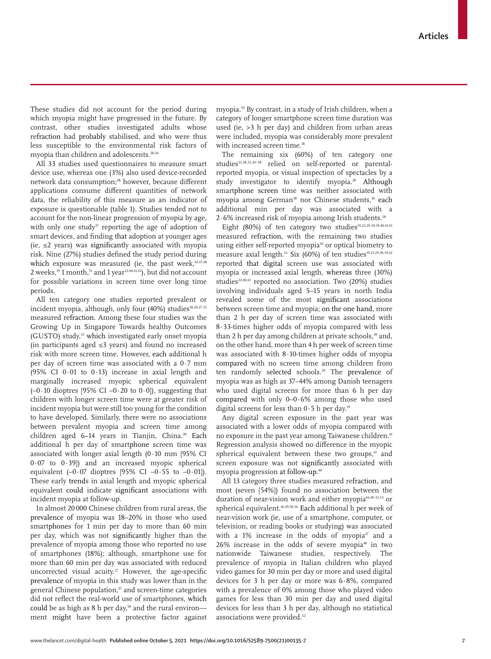These studies did not account for the period during which myopia might have progressed in the future. By contrast, other studies investigated adults whose refraction had probably stabilised, and who were thus less susceptible to the environmental risk factors of myopia than children and adolescents.28,36

All 33 studies used questionnaires to measure smart device use, whereas one (3%) also used device-recorded network data consumption;<sup>28</sup> however, because different applications consume different quantities of network data, the reliability of this measure as an indicator of exposure is questionable (table 1). Studies tended not to account for the non-linear progression of myopia by age, with only one study<sup>37</sup> reporting the age of adoption of smart devices, and finding that adoption at younger ages (ie, ≤2 years) was significantly associated with myopia risk. Nine (27%) studies defined the study period during which exposure was measured (ie, the past week, $42,47,48$ 2 weeks, $19$  1 month,  $51$  and 1 year $32,40,41,43$ ), but did not account for possible variations in screen time over long time periods.

All ten category one studies reported prevalent or incident myopia, although, only four (40%) studies<sup>18,20,27,35</sup> measured refraction. Among these four studies was the Growing Up in Singapore Towards healthy Outcomes (GUSTO) study,<sup>35</sup> which investigated early onset myopia (in participants aged ≤3 years) and found no increased risk with more screen time. However, each additional h per day of screen time was associated with a 0·7 mm (95% CI 0·01 to 0·13) increase in axial length and marginally increased myopic spherical equivalent  $(-0.10$  dioptres [95% CI  $-0.20$  to  $0.0$ ]), suggesting that children with longer screen time were at greater risk of incident myopia but were still too young for the condition to have developed. Similarly, there were no associations between prevalent myopia and screen time among children aged 6-14 years in Tianjin, China.<sup>20</sup> Each additional h per day of smartphone screen time was associated with longer axial length  $(0.10 \text{ mm } 95\% \text{ CI})$ 0·07 to 0·39]) and an increased myopic spherical equivalent  $(-0.07 \text{ dioptres } [95\% \text{ CI } -0.55 \text{ to } -0.01]).$ These early trends in axial length and myopic spherical equivalent could indicate significant associations with incident myopia at follow-up.

In almost 20 000 Chinese children from rural areas, the prevalence of myopia was 18–20% in those who used smartphones for 1 min per day to more than 60 min per day, which was not significantly higher than the prevalence of myopia among those who reported no use of smartphones (18%); although, smartphone use for more than 60 min per day was associated with reduced uncorrected visual acuity.<sup>27</sup> However, the age-specific prevalence of myopia in this study was lower than in the general Chinese population,<sup>57</sup> and screen-time categories did not reflect the real-world use of smartphones, which could be as high as  $8 h$  per day,<sup>58</sup> and the rural environ ment might have been a protective factor against myopia.59 By contrast, in a study of Irish children, when a category of longer smartphone screen time duration was used (ie, >3 h per day) and children from urban areas were included, myopia was considerably more prevalent with increased screen time.<sup>18</sup>

The remaining six (60%) of ten category one studies<sup>23,28,32,36-38</sup> relied on self-reported or parentalreported myopia, or visual inspection of spectacles by a study investigator to identify myopia.<sup>28</sup> Although smartphone screen time was neither associated with myopia among German<sup>38</sup> nor Chinese students,<sup>36</sup> each additional min per day was associated with a  $2.6\%$  increased risk of myopia among Irish students.<sup>28</sup>

Eight (80%) of ten category two studies<sup>19,22,29,30,39,40,41,43</sup> measured refraction, with the remaining two studies using either self-reported myopia<sup>42</sup> or optical biometry to measure axial length.<sup>21</sup> Six (60%) of ten studies<sup>19,21,29,30,39,42</sup> reported that digital screen use was associated with myopia or increased axial length, whereas three (30%) studies<sup>22,40,43</sup> reported no association. Two  $(20\%)$  studies involving individuals aged 5–15 years in north India revealed some of the most significant associations between screen time and myopia; on the one hand, more than 2 h per day of screen time was associated with 8·33-times higher odds of myopia compared with less than 2 h per day among children at private schools, $30$  and, on the other hand, more than 4 h per week of screen time was associated with 8·10-times higher odds of myopia compared with no screen time among children from ten randomly selected schools.<sup>29</sup> The prevalence of myopia was as high as 37–44% among Danish teenagers who used digital screens for more than 6 h per day compared with only 0–0·6% among those who used digital screens for less than  $0.5$  h per day.<sup>19</sup>

Any digital screen exposure in the past year was associated with a lower odds of myopia compared with no exposure in the past year among Taiwanese children.<sup>41</sup> Regression analysis showed no difference in the myopic spherical equivalent between these two groups,<sup>41</sup> and screen exposure was not significantly associated with myopia progression at follow-up.<sup>40</sup>

All 13 category three studies measured refraction, and most (seven [54%]) found no association between the duration of near-vision work and either myopia<sup>44,49-51,53</sup> or spherical equivalent.46,49,50,56 Each additional h per week of near-vision work (ie, use of a smartphone, computer, or television, or reading books or studying) was associated with a 1% increase in the odds of myopia<sup>47</sup> and a 26% increase in the odds of severe myopia<sup>48</sup> in two nationwide Taiwanese studies, respectively. The prevalence of myopia in Italian children who played video games for 30 min per day or more and used digital devices for 3 h per day or more was 6·8%, compared with a prevalence of 0% among those who played video games for less than 30 min per day and used digital devices for less than 3 h per day, although no statistical associations were provided.<sup>52</sup>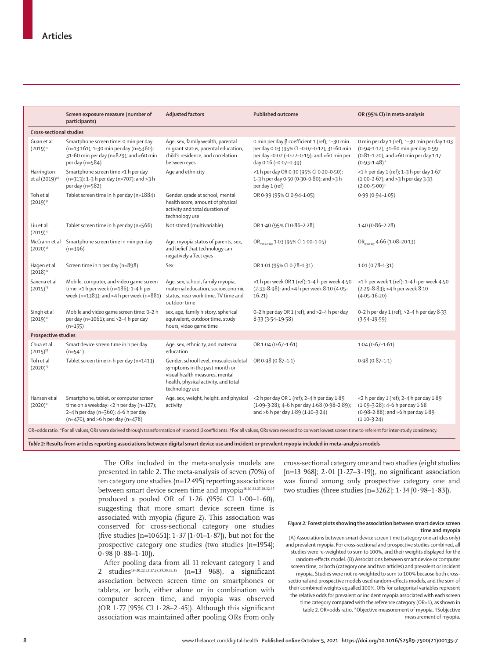| Guan et al                               |                                                                                                                                                                      |                                                                                                                                                                    |                                                                                                                                                                     |                                                                                                                                                   |  |  |  |  |
|------------------------------------------|----------------------------------------------------------------------------------------------------------------------------------------------------------------------|--------------------------------------------------------------------------------------------------------------------------------------------------------------------|---------------------------------------------------------------------------------------------------------------------------------------------------------------------|---------------------------------------------------------------------------------------------------------------------------------------------------|--|--|--|--|
|                                          | <b>Cross-sectional studies</b>                                                                                                                                       |                                                                                                                                                                    |                                                                                                                                                                     |                                                                                                                                                   |  |  |  |  |
| $(2019)^{27}$                            | Smartphone screen time: 0 min per day<br>(n=13 161); 1-30 min per day (n=5360);<br>$31-60$ min per day (n=829); and >60 min<br>per day $(n=584)$                     | Age, sex, family wealth, parental<br>migrant status, parental education,<br>child's residence, and correlation<br>between eyes                                     | 0 min per day β coefficient 1 (ref); 1-30 min<br>per day 0.03 (95% CI-0.07-0.12); 31-60 min<br>per day -0.02 (-0.22-0.19); and >60 min per<br>day 0.16 (-0.07-0.39) | 0 min per day 1 (ref); 1-30 min per day 1.03<br>(0.94-1.12); 31-60 min per day 0.99<br>(0.81-1.20); and >60 min per day 1.17<br>$(0.93 - 1.48)^*$ |  |  |  |  |
| Harrington<br>et al (2019) <sup>18</sup> | Smartphone screen time <1 h per day<br>(n=313); 1-3 h per day (n=707); and >3 h<br>per day (n=582)                                                                   | Age and ethnicity                                                                                                                                                  | <1 h per day OR 0.30 (95% CI 0.20-0.50);<br>1-3 h per day 0.50 (0.30-0.80); and >3 h<br>per day 1 (ref)                                                             | $<$ 1 h per day 1 (ref); 1-3 h per day 1 $\cdot$ 67<br>$(1.00-2.67)$ ; and >3 h per day 3.33<br>$(2.00 - 5.00)$ <sup>+</sup>                      |  |  |  |  |
| Toh et al<br>$(2019)^{32}$               | Tablet screen time in h per day (n=1884)                                                                                                                             | Gender, grade at school, mental<br>health score, amount of physical<br>activity and total duration of<br>technology use                                            | OR 0.99 (95% CI 0.94-1.05)                                                                                                                                          | $0.99(0.94 - 1.05)$                                                                                                                               |  |  |  |  |
| Liu et al<br>$(2019)^{20}$               | Tablet screen time in h per day (n=566)                                                                                                                              | Not stated (multivariable)                                                                                                                                         | OR 1.40 (95% CI 0.86-2.28)                                                                                                                                          | $1.40(0.86 - 2.28)$                                                                                                                               |  |  |  |  |
| McCrann et al<br>$(2020)^{28}$           | Smartphone screen time in min per day<br>$(n=396)$                                                                                                                   | Age, myopia status of parents, sex,<br>and belief that technology can<br>negatively affect eyes                                                                    | OR <sub>min perday</sub> 1.03 (95% CI 1.00-1.05)                                                                                                                    | OR <sub>hnerday</sub> 4.66 (1.08-20.13)                                                                                                           |  |  |  |  |
| Hagen et al<br>$(2018)^{22}$             | Screen time in h per day (n=898)                                                                                                                                     | Sex                                                                                                                                                                | OR 1.01 (95% CI 0.78-1.31)                                                                                                                                          | $1.01(0.78-1.31)$                                                                                                                                 |  |  |  |  |
| Saxena et al<br>$(2015)^{29}$            | Mobile, computer, and video game screen<br>time: <1 h per week (n=186); 1-4 h per<br>week (n=1383); and >4 h per week (n=881)                                        | Age, sex, school, family myopia,<br>maternal education, socioeconomic<br>status, near work time, TV time and<br>outdoor time                                       | <1 h per week OR 1 (ref); 1-4 h per week 4.50<br>(2.33-8.98); and >4 h per week 8.10 (4.05-<br>16.21)                                                               | <1 h per week 1 (ref); 1-4 h per week 4.50<br>(2.29-8.83); > 4 h per week 8.10<br>$(4.05 - 16.20)$                                                |  |  |  |  |
| Singh et al<br>$(2019)^{30}$             | Mobile and video game screen time: 0-2 h<br>per day (n=1061); and >2-4 h per day<br>$(n=155)$                                                                        | sex, age, family history, spherical<br>equivalent, outdoor time, study<br>hours, video game time                                                                   | 0-2 h per day OR 1 (ref); and >2-4 h per day<br>$8.33(3.54 - 19.58)$                                                                                                | 0-2 h per day 1 (ref); >2-4 h per day 8.33<br>$(3.54 - 19.59)$                                                                                    |  |  |  |  |
| <b>Prospective studies</b>               |                                                                                                                                                                      |                                                                                                                                                                    |                                                                                                                                                                     |                                                                                                                                                   |  |  |  |  |
| Chua et al<br>$(2015)^{35}$              | Smart device screen time in h per day<br>$(n=541)$                                                                                                                   | Age, sex, ethnicity, and maternal<br>education                                                                                                                     | OR 1.04 (0.67-1.61)                                                                                                                                                 | $1.04(0.67-1.61)$                                                                                                                                 |  |  |  |  |
| Toh et al<br>$(2020)^{23}$               | Tablet screen time in h per day (n=1413)                                                                                                                             | Gender, school level, musculoskeletal<br>symptoms in the past month or<br>visual health measures, mental<br>health, physical activity, and total<br>technology use | OR 0.98 (0.87-1.1)                                                                                                                                                  | $0.98(0.87-1.1)$                                                                                                                                  |  |  |  |  |
| Hansen et al<br>$(2020)^{19}$            | Smartphone, tablet, or computer screen<br>time on a weekday: <2 h per day (n=127);<br>2-4 h per day (n=360); 4-6 h per day<br>$(n=470)$ ; and >6 h per day $(n=478)$ | Age, sex, weight, height, and physical<br>activity                                                                                                                 | <2 h per day OR 1 (ref); 2-4 h per day 1.89<br>(1.09-3.28); 4-6 h per day 1.68 (0.98-2.89);<br>and >6 h per day 1.89 (1.10-3.24)                                    | <2 h per day 1 (ref); 2-4 h per day 1.89<br>(1.09-3.28); 4-6 h per day 1.68<br>(0.98-2.88); and >6 h per day 1.89<br>$(1.10 - 3.24)$              |  |  |  |  |

*Table 2:* **Results from articles reporting associations between digital smart device use and incident or prevalent myopia included in meta-analysis models**

The ORs included in the meta-analysis models are presented in table 2. The meta-analysis of seven (70%) of ten category one studies (n=12 495) reporting associations between smart device screen time and myopia<sup>18,20,23,27,28,32,35</sup> produced a pooled OR of  $1.26$  (95% CI  $1.00-1.60$ ), suggesting that more smart device screen time is associated with myopia (figure 2). This association was conserved for cross-sectional category one studies (five studies [n=10 651];  $1.37$  [ $1.01-1.87$ ]), but not for the prospective category one studies (two studies [n=1954];  $0.98$   $[0.88 - 1.10]$ .

After pooling data from all 11 relevant category 1 and 2 studies<sup>18-20,22,23,27,28,29,30,32,35</sup> (n=13 968), a significant association between screen time on smartphones or tablets, or both, either alone or in combination with computer screen time, and myopia was observed (OR  $1.77$  [95% CI  $1.28-2.45$ ]). Although this significant association was maintained after pooling ORs from only cross-sectional category one and two studies (eight studies [n=13 968]; 2·01 [1·27–3·19]), no significant association was found among only prospective category one and two studies (three studies [n=3262]; 1·34 [0·98–1·83]).

#### *Figure 2:* **Forest plots showing the association between smart device screen time and myopia**

(A) Associations between smart device screen time (category one articles only) and prevalent myopia. For cross-sectional and prospective studies combined, all studies were re-weighted to sum to 100%, and their weights displayed for the random-effects model. (B) Associations between smart device or computer screen time, or both (category one and two articles) and prevalent or incident myopia. Studies were not re-weighted to sum to 100% because both crosssectional and prospective models used random-effects models, and the sum of their combined weights equalled 100%. ORs for categorical variables represent the relative odds for prevalent or incident myopia associated with each screen time category compared with the reference category (OR=1), as shown in table 2. OR=odds ratio. \*Objective measurement of myopia. †Subjective measurement of myopia.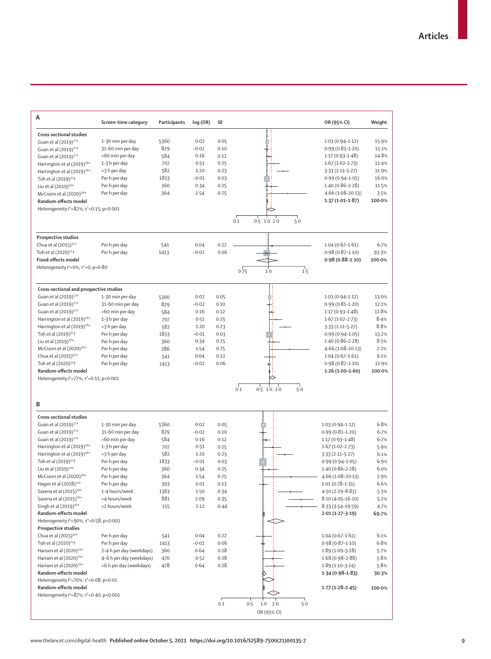| А                                                                             | Screen-time category           | Participants | log (OR)       | SE           |                             | OR (95% CI)                                | Weight       |
|-------------------------------------------------------------------------------|--------------------------------|--------------|----------------|--------------|-----------------------------|--------------------------------------------|--------------|
| Cross-sectional studies                                                       |                                |              |                |              |                             |                                            |              |
| Guan et al (2019) <sup>27*</sup>                                              | 1-30 min per day               | 5360         | 0.02           | 0.05         |                             | $1.03(0.94 - 1.12)$                        | 15.9%        |
| Guan et al (2019) <sup>27*</sup>                                              | 31-60 min per day              | 829          | $-0.02$        | 0.10         |                             | $0.99(0.81 - 1.20)$                        | 15.1%        |
| Guan et al (2019) <sup>27*</sup>                                              | >60 min per day                | 584          | 0.16           | 0.12         |                             | $1.17(0.93 - 1.48)$                        | 14.8%        |
| Harrington et al (2019) <sup>18*</sup>                                        | 1-3 h per day                  | 707          | 0.51           | 0.25         |                             | $1.67(1.02 - 2.73)$                        | 11.4%        |
| Harrington et al (2019) <sup>18*</sup>                                        | >3 h per day                   | 582          | $1-20$         | 0.23         |                             | $3.33(2.11 - 5.27)$                        | 11.9%        |
| Toh et al (2019) <sup>32</sup> <sup>+</sup>                                   | Per h per day                  | 1833         | $-0.01$        | 0.03         |                             | $0.99(0.94 - 1.05)$                        | 16.0%        |
| Liu et al $(2019)^{20*}$                                                      | Per h per day                  | 360          | 0.34           | 0.25         |                             | $1.40(0.86 - 2.28)$                        | 11.5%        |
| McCrann et al (2020) <sup>28*</sup>                                           | Per h per day                  | 364          | 1.54           | 0.75         |                             | $4.66(1.08 - 20.13)$                       | 3.5%         |
| Random-effects model                                                          |                                |              |                |              |                             | $1.37(1.01 - 1.87)$                        | 100.0%       |
| Heterogeneity <sup>2</sup> =82%; τ <sup>2</sup> =0.15; p<0.001                |                                |              |                |              |                             |                                            |              |
|                                                                               |                                |              |                |              | $0.5$ 1.0 2.0<br>5.0<br>0.1 |                                            |              |
| Prospective studies                                                           |                                |              |                |              |                             |                                            |              |
| Chua et al (2015) <sup>35*</sup>                                              | Per h per day                  | 541          | 0.04           | 0.22         |                             | $1.04(0.67-1.61)$                          | 6.7%         |
| Toh et al (2020) <sup>23†</sup>                                               | Per h per day                  | 1413         | $-0.02$        | 0.06         |                             | $0.98(0.87 - 1.10)$                        | 93.3%        |
| <b>Fixed-effects model</b>                                                    |                                |              |                |              |                             | $0.98(0.88 - 1.10)$                        | 100.0%       |
| Heterogeneity $l^2 = 0\%$ ; $\tau^2 = 0$ ; p=0.80                             |                                |              |                |              | 0.75<br>1.5<br>1.0          |                                            |              |
| Cross-sectional and prospective studies                                       |                                |              |                |              |                             |                                            |              |
| Guan et al (2019) <sup>27*</sup>                                              | 1-30 min per day               | 5360         | 0.02           | 0.05         |                             | $1.03(0.94 - 1.12)$                        | 13.0%        |
| Guan et al (2019) <sup>27*</sup>                                              | 31-60 min per day              | 829          | $-0.02$        | 0.10         |                             | $0.99(0.81 - 1.20)$                        | 12.1%        |
| Guan et al (2019) <sup>27*</sup>                                              | >60 min per day                | 584          | 0.16           | 0.12         |                             | $1.17(0.93 - 1.48)$                        | 11.8%        |
| Harrington et al $(2019)^{18*}$<br>Harrington et al (2019) <sup>18*</sup>     | 1-3 h per day<br>>3 h per day  | 707          | 0.51<br>$1-20$ | 0.25         |                             | $1.67(1.02 - 2.73)$                        | 8.4%<br>8.8% |
| Toh et al (2019) <sup>32</sup> <sup>+</sup>                                   | Per h per day                  | 582<br>1833  | $-0.01$        | 0.23<br>0.03 |                             | $3.33(2.11 - 5.27)$<br>$0.99(0.94 - 1.05)$ | 13.2%        |
| Liu et al $(2019)^{20*}$                                                      | Per h per day                  | 360          | 0.34           | 0.25         |                             | $1.40(0.86 - 2.28)$                        | 8.5%         |
| McCrann et al $(2020)^{28*}$                                                  | Per h per day                  | 286          | 1.54           | 0.75         |                             | $4.66(1.08 - 20.13)$                       | 2.2%         |
| Chua et al (2015) <sup>35*</sup>                                              | Per h per day                  | 541          | 0.04           | 0.22         |                             | $1.04(0.67-1.61)$                          | 9.1%         |
| Toh et al (2020) <sup>23+</sup>                                               | Per h per day                  | 1413         | $-0.02$        | 0.06         |                             | $0.98(0.87 - 1.10)$                        | 12.9%        |
| Random-effects model                                                          |                                |              |                |              |                             | $1.26(1.00-1.60)$                          | 100.0%       |
| Heterogeneity $l^2 = 77\%$ ; $\tau^2 = 0.11$ ; p<0.001                        |                                |              |                |              |                             |                                            |              |
|                                                                               |                                |              |                |              | 0.5 1.0 2.0<br>0.1<br>$5-0$ |                                            |              |
| B                                                                             |                                |              |                |              |                             |                                            |              |
| Cross-sectional studies                                                       |                                |              |                |              |                             |                                            |              |
| Guan et al (2019) <sup>27*</sup>                                              | 1-30 min per day               | 5360         | 0.02           | 0.05         |                             | $1.03(0.94 - 1.12)$                        | 6.8%         |
| Guan et al (2019) <sup>27*</sup>                                              | 31-60 min per day              | 829          | $-0.02$        | 0.10         |                             | $0.99(0.81 - 1.20)$                        | 6.7%         |
| Guan et al (2019) <sup>27*</sup>                                              | >60 min per day                | 584          | 0.16           | 0.12         |                             | $1.17(0.93 - 1.48)$                        | 6.7%         |
| Harrington et al $(2019)^{18*}$                                               | 1-3 h per day                  | 707          | 0.51           | 0.25         |                             | $1.67(1.02 - 2.73)$                        | 5.9%         |
| Harrington et al $(2019)^{18*}$                                               | >3 h per day                   | 582          | $1-20$         | 0.23         |                             | $3.33(2.11 - 5.27)$                        | 6.1%         |
| Toh et al (2019) <sup>32</sup> <sup>+</sup>                                   | Per h per day                  | 1833         | $-0.01$        | 0.03         |                             | $0.99(0.94 - 1.05)$                        | 6.9%         |
| Liu et al $(2019)^{20*}$<br>McCrann et al (2020) <sup>28*</sup>               | Per h per day                  | 360<br>364   | 0.34           | 0.25<br>0.75 |                             | $1.40(0.86 - 2.28)$<br>4.66 (1.08-20.13)   | 6.0%<br>2.9% |
| Hagen et al (2018) <sup>22*</sup>                                             | Per h per day<br>Per h per day | 393          | 1.54<br>0.01   | 0.13         |                             | $1.01(0.78 - 1.31)$                        | 6.6%         |
| Saxena et al (2015) <sup>29*</sup>                                            | 1-4 hours/week                 | 1383         | 1.50           | 0.34         |                             | 4.50 (2.29-8.83)                           | 5.3%         |
| Saxena et al (2015) <sup>29*</sup>                                            | >4 hours/week                  | 881          | 2.09           | 0.35         |                             | $8.10(4.05 - 16.20)$                       | 5.2%         |
| Singh et al (2019) <sup>30*</sup>                                             | >2 hours/week                  | 155          | 2.12           | 0.44         |                             | $8.33(3.54-19.59)$                         | 4.7%         |
| Random-effects model                                                          |                                |              |                |              |                             | $2.01(1.27 - 3.19)$                        | 69.7%        |
| Heterogeneity $l^2 = 90\%$ ; $\tau^2 = 0.58$ ; p<0.001                        |                                |              |                |              |                             |                                            |              |
| Prospective studies                                                           |                                |              |                |              |                             |                                            |              |
| Chua et al (2015) <sup>35*</sup>                                              | Per h per day                  | 541          | 0.04           | 0.22         |                             | $1.04(0.67-1.61)$                          | 6.1%         |
| Toh et al (2020) <sup>23+</sup>                                               | Per h per day                  | 1413         | $-0.02$        | 0.06         |                             | $0.98(0.87 - 1.10)$                        | 6.8%         |
| Hansen et al (2020) <sup>19*</sup>                                            | 2-4 h per day (weekdays)       | 360          | 0.64           | 0.28         |                             | $1.89(1.09-3.28)$                          | 5.7%         |
| Hansen et al (2020) <sup>19*</sup>                                            | 4-6 h per day (weekdays)       | 470          | 0.52           | 0.28         |                             | $1.68(0.98 - 2.88)$                        | 5.8%         |
| Hansen et al (2020) <sup>19*</sup>                                            | >6 h per day (weekdays)        | 478          | 0.64           | 0.28         |                             | $1.89(1.10-3.24)$                          | 5.8%         |
| Random-effects model                                                          |                                |              |                |              |                             | $1.34(0.98-1.83)$                          | 30.3%        |
| Heterogeneity $l^2 = 70\%$ ; $\tau^2 = 0.08$ ; p=0.01<br>Random-effects model |                                |              |                |              |                             | $1.77(1.28-2.45)$                          | 100.0%       |
| Heterogeneity $l^2 = 87\%$ ; $\tau^2 = 0.40$ ; p<0.001                        |                                |              |                |              |                             |                                            |              |
|                                                                               |                                |              |                | 0.1          | 0.5<br>5.0<br>$1.0$ $2.0$   |                                            |              |
|                                                                               |                                |              |                |              | OR (95% CI)                 |                                            |              |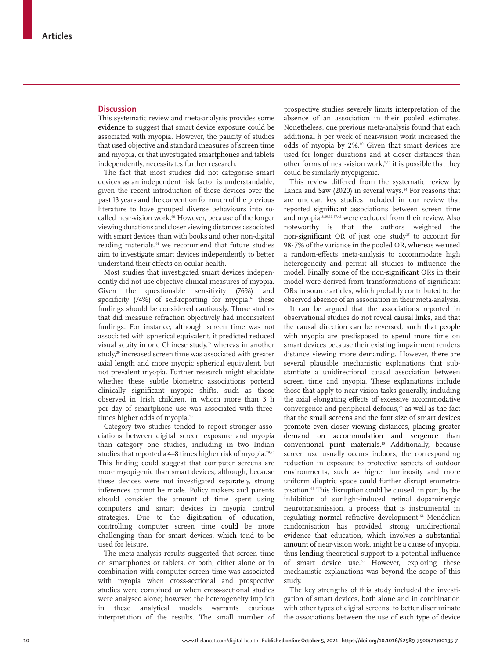## **Discussion**

This systematic review and meta-analysis provides some evidence to suggest that smart device exposure could be associated with myopia. However, the paucity of studies that used objective and standard measures of screen time and myopia, or that investigated smartphones and tablets independently, necessitates further research.

The fact that most studies did not categorise smart devices as an independent risk factor is understandable, given the recent introduction of these devices over the past 13 years and the convention for much of the previous literature to have grouped diverse behaviours into socalled near-vision work.<sup>60</sup> However, because of the longer viewing durations and closer viewing distances associated with smart devices than with books and other non-digital reading materials,<sup>61</sup> we recommend that future studies aim to investigate smart devices independently to better understand their effects on ocular health.

Most studies that investigated smart devices independently did not use objective clinical measures of myopia. Given the questionable sensitivity (76%) and specificity (74%) of self-reporting for myopia, $62$  these findings should be considered cautiously. Those studies that did measure refraction objectively had inconsistent findings. For instance, although screen time was not associated with spherical equivalent, it predicted reduced visual acuity in one Chinese study, $v$ <sup>7</sup> whereas in another study,<sup>20</sup> increased screen time was associated with greater axial length and more myopic spherical equivalent, but not prevalent myopia. Further research might elucidate whether these subtle biometric associations portend clinically significant myopic shifts, such as those observed in Irish children, in whom more than 3 h per day of smartphone use was associated with threetimes higher odds of myopia.<sup>18</sup>

Category two studies tended to report stronger associations between digital screen exposure and myopia than category one studies, including in two Indian studies that reported a 4–8 times higher risk of myopia.<sup>29,30</sup> This finding could suggest that computer screens are more myopigenic than smart devices; although, because these devices were not investigated separately, strong inferences cannot be made. Policy makers and parents should consider the amount of time spent using computers and smart devices in myopia control strategies. Due to the digitisation of education, controlling computer screen time could be more challenging than for smart devices, which tend to be used for leisure.

The meta-analysis results suggested that screen time on smartphones or tablets, or both, either alone or in combination with computer screen time was associated with myopia when cross-sectional and prospective studies were combined or when cross-sectional studies were analysed alone; however, the heterogeneity implicit in these analytical models warrants cautious interpretation of the results. The small number of

prospective studies severely limits interpretation of the absence of an association in their pooled estimates. Nonetheless, one previous meta-analysis found that each additional h per week of near-vision work increased the odds of myopia by 2%.<sup>60</sup> Given that smart devices are used for longer durations and at closer distances than other forms of near-vision work,<sup>9,10</sup> it is possible that they could be similarly myopigenic.

This review differed from the systematic review by Lanca and Saw  $(2020)$  in several ways.<sup>24</sup> For reasons that are unclear, key studies included in our review that reported significant associations between screen time and myopia18,19,30,37,42 were excluded from their review. Also noteworthy is that the authors weighted the non-significant OR of just one study<sup>35</sup> to account for 98·7% of the variance in the pooled OR, whereas we used a random-effects meta-analysis to accommodate high heterogeneity and permit all studies to influence the model. Finally, some of the non-significant ORs in their model were derived from transformations of significant ORs in source articles, which probably contributed to the observed absence of an association in their meta-analysis.

It can be argued that the associations reported in observational studies do not reveal causal links, and that the causal direction can be reversed, such that people with myopia are predisposed to spend more time on smart devices because their existing impairment renders distance viewing more demanding. However, there are several plausible mechanistic explanations that substantiate a unidirectional causal association between screen time and myopia. These explanations include those that apply to near-vision tasks generally, including the axial elongating effects of excessive accommodative convergence and peripheral defocus,<sup>28</sup> as well as the fact that the small screens and the font size of smart devices promote even closer viewing distances, placing greater demand on accommodation and vergence than conventional print materials. 10 Additionally, because screen use usually occurs indoors, the corresponding reduction in exposure to protective aspects of outdoor environments, such as higher luminosity and more uniform dioptric space could further disrupt emmetropisation.63 This disruption could be caused, in part, by the inhibition of sunlight-induced retinal dopaminergic neurotransmission, a process that is instrumental in regulating normal refractive development.<sup>64</sup> Mendelian randomisation has provided strong unidirectional evidence that education, which involves a substantial amount of near-vision work, might be a cause of myopia, thus lending theoretical support to a potential influence of smart device use.<sup>65</sup> However, exploring these mechanistic explanations was beyond the scope of this study.

The key strengths of this study included the investigation of smart devices, both alone and in combination with other types of digital screens, to better discriminate the associations between the use of each type of device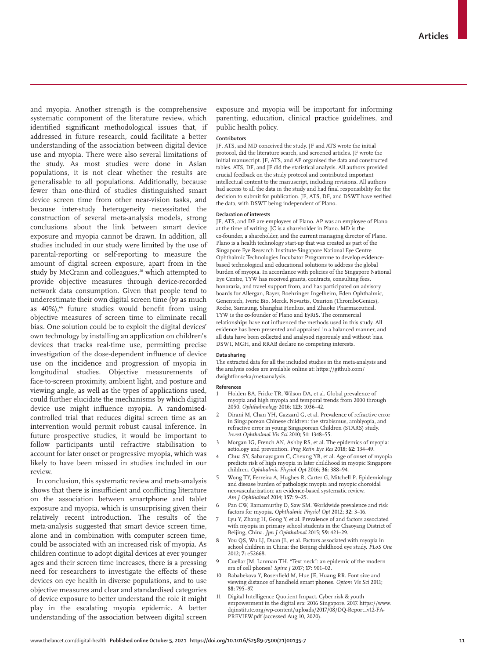and myopia. Another strength is the comprehensive systematic component of the literature review, which identified significant methodological issues that, if addressed in future research, could facilitate a better understanding of the association between digital device use and myopia. There were also several limitations of the study. As most studies were done in Asian populations, it is not clear whether the results are generalisable to all populations. Additionally, because fewer than one-third of studies distinguished smart device screen time from other near-vision tasks, and because inter-study heterogeneity necessitated the construction of several meta-analysis models, strong conclusions about the link between smart device exposure and myopia cannot be drawn. In addition, all studies included in our study were limited by the use of parental-reporting or self-reporting to measure the amount of digital screen exposure, apart from in the study by McCrann and colleagues,<sup>28</sup> which attempted to provide objective measures through device-recorded network data consumption. Given that people tend to underestimate their own digital screen time (by as much as 40%),<sup>66</sup> future studies would benefit from using objective measures of screen time to eliminate recall bias. One solution could be to exploit the digital devices' own technology by installing an application on children's devices that tracks real-time use, permitting precise investigation of the dose-dependent influence of device use on the incidence and progression of myopia in longitudinal studies. Objective measurements of face-to-screen proximity, ambient light, and posture and viewing angle, as well as the types of applications used, could further elucidate the mechanisms by which digital device use might influence myopia. A randomisedcontrolled trial that reduces digital screen time as an intervention would permit robust causal inference. In future prospective studies, it would be important to follow participants until refractive stabilisation to account for later onset or progressive myopia, which was likely to have been missed in studies included in our review.

In conclusion, this systematic review and meta-analysis shows that there is insufficient and conflicting literature on the association between smartphone and tablet exposure and myopia, which is unsurprising given their relatively recent introduction. The results of the meta-analysis suggested that smart device screen time, alone and in combination with computer screen time, could be associated with an increased risk of myopia. As children continue to adopt digital devices at ever younger ages and their screen time increases, there is a pressing need for researchers to investigate the effects of these devices on eye health in diverse populations, and to use objective measures and clear and standardised categories of device exposure to better understand the role it might play in the escalating myopia epidemic. A better understanding of the association between digital screen exposure and myopia will be important for informing parenting, education, clinical practice guidelines, and public health policy.

### **Contributors**

JF, ATS, and MD conceived the study. JF and ATS wrote the initial protocol, did the literature search, and screened articles. JF wrote the initial manuscript. JF, ATS, and AP organised the data and constructed tables. ATS, DF, and JF did the statistical analysis. All authors provided crucial feedback on the study protocol and contributed important intellectual content to the manuscript, including revisions. All authors had access to all the data in the study and had final responsibility for the decision to submit for publication. JF, ATS, DF, and DSWT have verified the data, with DSWT being independent of Plano.

#### **Declaration of interests**

JF, ATS, and DF are employees of Plano. AP was an employee of Plano at the time of writing. JC is a shareholder in Plano. MD is the co-founder, a shareholder, and the current managing director of Plano. Plano is a health technology start-up that was created as part of the Singapore Eye Research Institute-Singapore National Eye Centre Ophthalmic Technologies Incubator Programme to develop evidencebased technological and educational solutions to address the global burden of myopia. In accordance with policies of the Singapore National Eye Centre, TYW has received grants, contracts, consulting fees, honoraria, and travel support from, and has participated on advisory boards for Allergan, Bayer, Boehringer Ingelheim, Eden Ophthalmic, Genentech, Iveric Bio, Merck, Novartis, Oxurion (ThromboGenics), Roche, Samsung, Shanghai Henlius, and Zhaoke Pharmaceutical. TYW is the co-founder of Plano and EyRiS. The commercial relationships have not influenced the methods used in this study. All evidence has been presented and appraised in a balanced manner, and all data have been collected and analysed rigorously and without bias. DSWT, MGH, and RRAB declare no competing interests.

#### **Data sharing**

The extracted data for all the included studies in the meta-analysis and the analysis codes are available online at: https://github.com/ dwightfonseka/metaanalysis.

#### **References**

- 1 Holden BA, Fricke TR, Wilson DA, et al. Global prevalence of myopia and high myopia and temporal trends from 2000 through 2050. *Ophthalmology* 2016; **123:** 1036–42.
- 2 Dirani M, Chan YH, Gazzard G, et al. Prevalence of refractive error in Singaporean Chinese children: the strabismus, amblyopia, and refractive error in young Singaporean Children (STARS) study. *Invest Ophthalmol Vis Sci* 2010; **51:** 1348–55.
- 3 Morgan IG, French AN, Ashby RS, et al. The epidemics of myopia: aetiology and prevention. *Prog Retin Eye Res* 2018; **62:** 134–49.
- 4 Chua SY, Sabanayagam C, Cheung YB, et al. Age of onset of myopia predicts risk of high myopia in later childhood in myopic Singapore children. *Ophthalmic Physiol Opt* 2016; **36:** 388–94.
- 5 Wong TY, Ferreira A, Hughes R, Carter G, Mitchell P. Epidemiology and disease burden of pathologic myopia and myopic choroidal neovascularization: an evidence-based systematic review. *Am J Ophthalmol* 2014; **157:** 9–25.
- Pan CW, Ramamurthy D, Saw SM. Worldwide prevalence and risk factors for myopia. *Ophthalmic Physiol Opt* 2012; **32:** 3–16.
- Lyu Y, Zhang H, Gong Y, et al. Prevalence of and factors associated with myopia in primary school students in the Chaoyang District of Beijing, China. *Jpn J Ophthalmol* 2015; **59:** 421–29.
- You QS, Wu LJ, Duan JL, et al. Factors associated with myopia in school children in China: the Beijing childhood eye study. *PLoS One* 2012; **7:** e52668.
- 9 Cuellar JM, Lanman TH. "Text neck": an epidemic of the modern era of cell phones? *Spine J* 2017; **17:** 901–02.
- 10 Bababekova Y, Rosenfield M, Hue JE, Huang RR. Font size and viewing distance of handheld smart phones. *Optom Vis Sci* 2011; **88:** 795–97.
- 11 Digital Intelligence Quotient Impact. Cyber risk & youth empowerment in the digital era: 2016 Singapore. 2017. https://www. dqinstitute.org/wp-content/uploads/2017/08/DQ-Report\_v12-FA-PREVIEW.pdf (accessed Aug 10, 2020).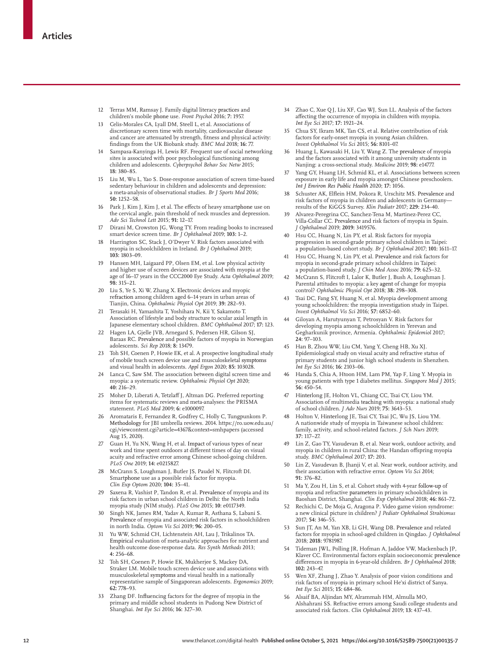- 12 Terras MM, Ramsay J. Family digital literacy practices and children's mobile phone use. *Front Psychol* 2016; **7:** 1957.
- 13 Celis-Morales CA, Lyall DM, Steell L, et al. Associations of discretionary screen time with mortality, cardiovascular disease and cancer are attenuated by strength, fitness and physical activity: findings from the UK Biobank study. *BMC Med* 2018; **16:** 77.
- 14 Sampasa-Kanyinga H, Lewis RF. Frequent use of social networking sites is associated with poor psychological functioning among children and adolescents. *Cyberpsychol Behav Soc Netw* 2015; **18:** 380–85.
- 15 Liu M, Wu L, Yao S. Dose-response association of screen time-based sedentary behaviour in children and adolescents and depression: a meta-analysis of observational studies. *Br J Sports Med* 2016; **50:** 1252–58.
- 16 Park J, Kim J, Kim J, et al. The effects of heavy smartphone use on the cervical angle, pain threshold of neck muscles and depression. *Adv Sci Technol Lett* 2015; **91:** 12–17.
- 17 Dirani M, Crowston JG, Wong TY. From reading books to increased smart device screen time. *Br J Ophthalmol* 2019; **103:** 1–2.
- 18 Harrington SC, Stack J, O'Dwyer V. Risk factors associated with myopia in schoolchildren in Ireland. *Br J Ophthalmol* 2019; **103:** 1803–09.
- 19 Hansen MH, Laigaard PP, Olsen EM, et al. Low physical activity and higher use of screen devices are associated with myopia at the age of 16–17 years in the CCC2000 Eye Study. *Acta Ophthalmol* 2019; **98:** 315–21.
- 20 Liu S, Ye S, Xi W, Zhang X. Electronic devices and myopic refraction among children aged 6–14 years in urban areas of Tianjin, China. *Ophthalmic Physiol Opt* 2019; **39:** 282–93.
- 21 Terasaki H, Yamashita T, Yoshihara N, Kii Y, Sakamoto T. Association of lifestyle and body structure to ocular axial length in Japanese elementary school children. *BMC Ophthalmol* 2017; **17:** 123.
- 22 Hagen LA, Gjelle JVB, Arnegard S, Pedersen HR, Gilson SJ, Baraas RC. Prevalence and possible factors of myopia in Norwegian adolescents. *Sci Rep* 2018; **8:** 13479.
- 23 Toh SH, Coenen P, Howie EK, et al. A prospective longitudinal study of mobile touch screen device use and musculoskeletal symptoms and visual health in adolescents. *Appl Ergon* 2020; **85:** 103028.
- 24 Lanca C, Saw SM. The association between digital screen time and myopia: a systematic review. *Ophthalmic Physiol Opt* 2020;  $40:216-29$
- 25 Moher D, Liberati A, Tetzlaff J, Altman DG. Preferred reporting items for systematic reviews and meta-analyses: the PRISMA statement. *PLoS Med* 2009; **6:** e1000097.
- 26 Aromataris E, Fernandez R, Godfrey C, Holly C, Tungpunkom P. Methodology for JBI umbrella reviews. 2014. https://ro.uow.edu.au/ cgi/viewcontent.cgi?article=4367&context=smhpapers (accessed Aug 15, 2020).
- 27 Guan H, Yu NN, Wang H, et al. Impact of various types of near work and time spent outdoors at different times of day on visual acuity and refractive error among Chinese school-going children. *PLoS One* 2019; **14:** e0215827.
- 28 McCrann S, Loughman J, Butler JS, Paudel N, Flitcroft DI. Smartphone use as a possible risk factor for myopia. *Clin Exp Optom* 2020; **104:** 35–41.
- 29 Saxena R, Vashist P, Tandon R, et al. Prevalence of myopia and its risk factors in urban school children in Delhi: the North India myopia study (NIM study). *PLoS One* 2015; **10**: e0117349.
- Singh NK, James RM, Yadav A, Kumar R, Asthana S, Labani S. Prevalence of myopia and associated risk factors in schoolchildren in north India. *Optom Vis Sci* 2019; **96:** 200–05.
- 31 Yu WW, Schmid CH, Lichtenstein AH, Lau J, Trikalinos TA. Empirical evaluation of meta-analytic approaches for nutrient and health outcome dose-response data. *Res Synth Methods* 2013; **4:** 256–68.
- 32 Toh SH, Coenen P, Howie EK, Mukherjee S, Mackey DA, Straker LM. Mobile touch screen device use and associations with musculoskeletal symptoms and visual health in a nationally representative sample of Singaporean adolescents. *Ergonomics* 2019; **62:** 778–93.
- 33 Zhang DF. Influencing factors for the degree of myopia in the primary and middle school students in Pudong New District of Shanghai. *Int Eye Sci* 2016; **16:** 327–30.
- 34 Zhao C, Xue QJ, Liu XF, Cao WJ, Sun LL. Analysis of the factors affecting the occurrence of myopia in children with myopia. *Int Eye Sci* 2017; **17:** 1921–24.
- 35 Chua SY, Ikram MK, Tan CS, et al. Relative contribution of risk factors for early-onset myopia in young Asian children. *Invest Ophthalmol Vis Sci* 2015; **56:** 8101–07.
- 36 Huang L, Kawasaki H, Liu Y, Wang Z. The prevalence of myopia and the factors associated with it among university students in Nanjing: a cross-sectional study. *Medicine* 2019; **98:** e14777.
- 37 Yang GY, Huang LH, Schmid KL, et al. Associations between screen exposure in early life and myopia amongst Chinese preschoolers. *Int J Environ Res Public Health* 2020; **17:** 1056.
- Schuster AK, Elflein HM, Pokora R, Urschitz MS. Prevalence and risk factors of myopia in children and adolescents in Germany results of the KiGGS Survey. *Klin Padiatr* 2017; **229:** 234–40.
- 39 Alvarez-Peregrina CC, Sanchez-Tena M, Martinez-Perez CC, Villa-Collar CC. Prevalence and risk factors of myopia in Spain. *J Ophthalmol* 2019; **2019:** 3419576.
- Hsu CC, Huang N, Lin PY, et al. Risk factors for myopia progression in second-grade primary school children in Taipei: a population-based cohort study. *Br J Ophthalmol* 2017; **101:** 1611–17.
- Hsu CC, Huang N, Lin PY, et al. Prevalence and risk factors for myopia in second-grade primary school children in Taipei: a population-based study. *J Chin Med Assoc* 2016; **79:** 625–32.
- 42 McCrann S, Flitcroft I, Lalor K, Butler J, Bush A, Loughman J. Parental attitudes to myopia: a key agent of change for myopia control? *Ophthalmic Physiol Opt* 2018; **38:** 298–308.
- Tsai DC, Fang SY, Huang N, et al. Myopia development among young schoolchildren: the myopia investigation study in Taipei. *Invest Ophthalmol Vis Sci* 2016; **57:** 6852–60.
- 44 Giloyan A, Harutyunyan T, Petrosyan V. Risk factors for developing myopia among schoolchildren in Yerevan and Gegharkunik province, Armenia. *Ophthalmic Epidemiol* 2017; **24:** 97–103.
- Han B, Zhou WW, Liu CM, Yang Y, Cheng HB, Xu XJ. Epidemiological study on visual acuity and refractive status of primary students and junior high school students in Shenzhen. *Int Eye Sci* 2016; **16:** 2103–06.
- 46 Handa S, Chia A, Htoon HM, Lam PM, Yap F, Ling Y. Myopia in young patients with type 1 diabetes mellitus. *Singapore Med J* 2015; **56:** 450–54.
- 47 Hinterlong JE, Holton VL, Chiang CC, Tsai CY, Liou YM. Association of multimedia teaching with myopia: a national study of school children. *J Adv Nurs* 2019; **75:** 3643–53.
- 48 Holton V, Hinterlong JE, Tsai CY, Tsai JC, Wu JS, Liou YM. A nationwide study of myopia in Taiwanese school children: family, activity, and school-related factors. *J Sch Nurs* 2019; **37:** 117–27.
- Lin Z, Gao TY, Vasudevan B, et al. Near work, outdoor activity, and myopia in children in rural China: the Handan offspring myopia study. *BMC Ophthalmol* 2017; **17:** 203.
- 50 Lin Z, Vasudevan B, Jhanji V, et al. Near work, outdoor activity, and their association with refractive error. *Optom Vis Sci* 2014; **91:** 376–82.
- 51 Ma Y, Zou H, Lin S, et al. Cohort study with 4-year follow-up of myopia and refractive parameters in primary schoolchildren in Baoshan District, Shanghai. *Clin Exp Ophthalmol* 2018; **46:** 861–72.
- 52 Rechichi C, De Moja G, Aragona P. Video game vision syndrome: a new clinical picture in children? *J Pediatr Ophthalmol Strabismus* 2017; **54:** 346–55.
- 53 Sun JT, An M, Yan XB, Li GH, Wang DB. Prevalence and related factors for myopia in school-aged children in Qingdao. *J Ophthalmol* 2018; **2018:** 9781987.
- Tideman JWL, Polling JR, Hofman A, Jaddoe VW, Mackenbach JP, Klaver CC. Environmental factors explain socioeconomic prevalence differences in myopia in 6-year-old children. *Br J Ophthalmol* 2018; **102:** 243–47.
- 55 Wen XF, Zhang J, Zhao Y. Analysis of poor vision conditions and risk factors of myopia in primary school He'xi district of Sanya. *Int Eye Sci* 2015; **15:** 684–86.
- 56 Alsaif BA, Aljindan MY, Alrammah HM, Almulla MO, Alshahrani SS. Refractive errors among Saudi college students and associated risk factors. *Clin Ophthalmol* 2019; **13:** 437–43.